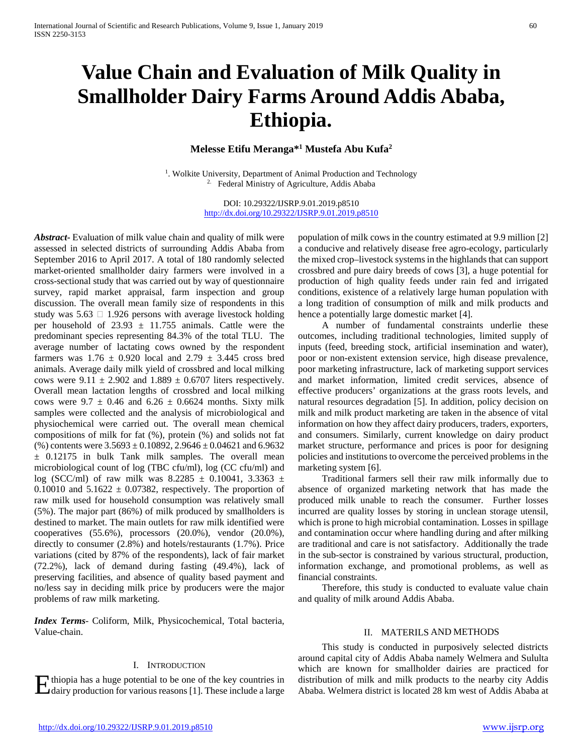# **Value Chain and Evaluation of Milk Quality in Smallholder Dairy Farms Around Addis Ababa, Ethiopia.**

**Melesse Etifu Meranga\*1 Mustefa Abu Kufa2**

 $1.$  Wolkite University, Department of Animal Production and Technology 2. Federal Ministry of Agriculture, Addis Ababa

> DOI: 10.29322/IJSRP.9.01.2019.p8510 <http://dx.doi.org/10.29322/IJSRP.9.01.2019.p8510>

*Abstract***-** Evaluation of milk value chain and quality of milk were assessed in selected districts of surrounding Addis Ababa from September 2016 to April 2017. A total of 180 randomly selected market-oriented smallholder dairy farmers were involved in a cross-sectional study that was carried out by way of questionnaire survey, rapid market appraisal, farm inspection and group discussion. The overall mean family size of respondents in this study was  $5.63 \square 1.926$  persons with average livestock holding per household of 23.93  $\pm$  11.755 animals. Cattle were the predominant species representing 84.3% of the total TLU. The average number of lactating cows owned by the respondent farmers was  $1.76 \pm 0.920$  local and  $2.79 \pm 3.445$  cross bred animals. Average daily milk yield of crossbred and local milking cows were  $9.11 \pm 2.902$  and  $1.889 \pm 0.6707$  liters respectively. Overall mean lactation lengths of crossbred and local milking cows were  $9.7 \pm 0.46$  and  $6.26 \pm 0.6624$  months. Sixty milk samples were collected and the analysis of microbiological and physiochemical were carried out. The overall mean chemical compositions of milk for fat (%), protein (%) and solids not fat (%) contents were  $3.5693 \pm 0.10892$ ,  $2.9646 \pm 0.04621$  and  $6.9632$ ± 0.12175 in bulk Tank milk samples. The overall mean microbiological count of log (TBC cfu/ml), log (CC cfu/ml) and log (SCC/ml) of raw milk was  $8.2285 \pm 0.10041$ ,  $3.3363 \pm 1.10041$ 0.10010 and  $5.1622 \pm 0.07382$ , respectively. The proportion of raw milk used for household consumption was relatively small (5%). The major part (86%) of milk produced by smallholders is destined to market. The main outlets for raw milk identified were cooperatives (55.6%), processors (20.0%), vendor (20.0%), directly to consumer (2.8%) and hotels/restaurants (1.7%). Price variations (cited by 87% of the respondents), lack of fair market (72.2%), lack of demand during fasting (49.4%), lack of preserving facilities, and absence of quality based payment and no/less say in deciding milk price by producers were the major problems of raw milk marketing.

*Index Terms*- Coliform, Milk, Physicochemical, Total bacteria, Value-chain.

#### I. INTRODUCTION

dairy production for various reasons [1]. These include a large

population of milk cows in the country estimated at 9.9 million [2] a conducive and relatively disease free agro-ecology, particularly the mixed crop–livestock systems in the highlands that can support crossbred and pure dairy breeds of cows [3], a huge potential for production of high quality feeds under rain fed and irrigated conditions, existence of a relatively large human population with a long tradition of consumption of milk and milk products and hence a potentially large domestic market [4].

 A number of fundamental constraints underlie these outcomes, including traditional technologies, limited supply of inputs (feed, breeding stock, artificial insemination and water), poor or non-existent extension service, high disease prevalence, poor marketing infrastructure, lack of marketing support services and market information, limited credit services, absence of effective producers' organizations at the grass roots levels, and natural resources degradation [5]. In addition, policy decision on milk and milk product marketing are taken in the absence of vital information on how they affect dairy producers, traders, exporters, and consumers. Similarly, current knowledge on dairy product market structure, performance and prices is poor for designing policies and institutions to overcome the perceived problems in the marketing system [6].

 Traditional farmers sell their raw milk informally due to absence of organized marketing network that has made the produced milk unable to reach the consumer. Further losses incurred are quality losses by storing in unclean storage utensil, which is prone to high microbial contamination. Losses in spillage and contamination occur where handling during and after milking are traditional and care is not satisfactory. Additionally the trade in the sub-sector is constrained by various structural, production, information exchange, and promotional problems, as well as financial constraints.

 Therefore, this study is conducted to evaluate value chain and quality of milk around Addis Ababa.

#### II. MATERILS AND METHODS

Herman and milk and milk and milk products to the nearby city Addis distribution of milk and milk products to the nearby city Addis Adaba at distribution for various reasons [1]. These include a large Ababa. Welmera distri This study is conducted in purposively selected districts around capital city of Addis Ababa namely Welmera and Sululta which are known for smallholder dairies are practiced for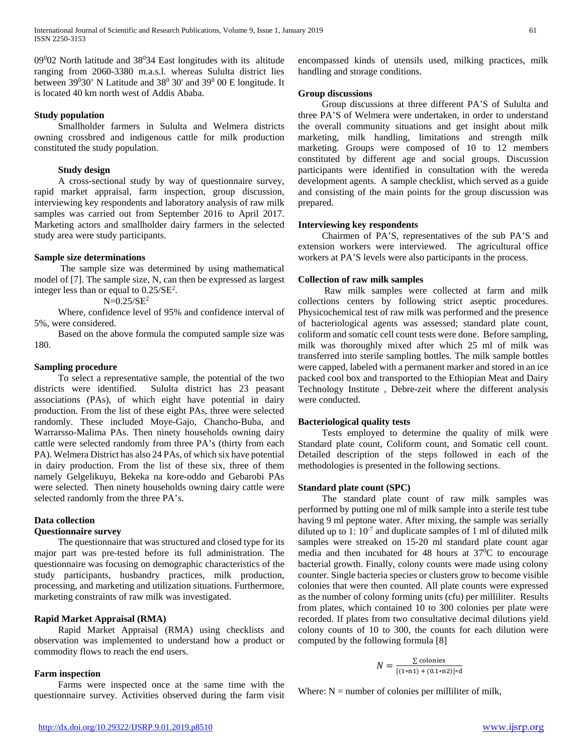09<sup>0</sup>02 North latitude and 38<sup>0</sup>34 East longitudes with its altitude ranging from 2060-3380 m.a.s.l. whereas Sululta district lies between  $39^030'$  N Latitude and  $38^030'$  and  $39^000 \text{ E}$  longitude. It is located 40 km north west of Addis Ababa.

# **Study population**

 Smallholder farmers in Sululta and Welmera districts owning crossbred and indigenous cattle for milk production constituted the study population.

# **Study design**

 A cross-sectional study by way of questionnaire survey, rapid market appraisal, farm inspection, group discussion, interviewing key respondents and laboratory analysis of raw milk samples was carried out from September 2016 to April 2017. Marketing actors and smallholder dairy farmers in the selected study area were study participants.

# **Sample size determinations**

 The sample size was determined by using mathematical model of [7]. The sample size, N, can then be expressed as largest integer less than or equal to  $0.25/\text{SE}^2$ .

 $N=0.25/SE^2$ 

 Where, confidence level of 95% and confidence interval of 5%, were considered.

 Based on the above formula the computed sample size was 180.

# **Sampling procedure**

 To select a representative sample, the potential of the two districts were identified. Sululta district has 23 peasant associations (PAs), of which eight have potential in dairy production. From the list of these eight PAs, three were selected randomly. These included Moye-Gajo, Chancho-Buba, and Warrarsso-Malima PAs. Then ninety households owning dairy cattle were selected randomly from three PA's (thirty from each PA). Welmera District has also 24 PAs, of which six have potential in dairy production. From the list of these six, three of them namely Gelgelikuyu, Bekeka na kore-oddo and Gebarobi PAs were selected. Then ninety households owning dairy cattle were selected randomly from the three PA's.

# **Data collection**

# **Questionnaire survey**

 The questionnaire that was structured and closed type for its major part was pre-tested before its full administration. The questionnaire was focusing on demographic characteristics of the study participants, husbandry practices, milk production, processing, and marketing and utilization situations. Furthermore, marketing constraints of raw milk was investigated.

# **Rapid Market Appraisal (RMA)**

 Rapid Market Appraisal (RMA) using checklists and observation was implemented to understand how a product or commodity flows to reach the end users.

# **Farm inspection**

 Farms were inspected once at the same time with the questionnaire survey. Activities observed during the farm visit encompassed kinds of utensils used, milking practices, milk handling and storage conditions.

# **Group discussions**

 Group discussions at three different PA'S of Sululta and three PA'S of Welmera were undertaken, in order to understand the overall community situations and get insight about milk marketing, milk handling, limitations and strength milk marketing. Groups were composed of 10 to 12 members constituted by different age and social groups. Discussion participants were identified in consultation with the wereda development agents. A sample checklist, which served as a guide and consisting of the main points for the group discussion was prepared.

# **Interviewing key respondents**

 Chairmen of PA'S, representatives of the sub PA'S and extension workers were interviewed. The agricultural office workers at PA'S levels were also participants in the process.

# **Collection of raw milk samples**

 Raw milk samples were collected at farm and milk collections centers by following strict aseptic procedures. Physicochemical test of raw milk was performed and the presence of bacteriological agents was assessed; standard plate count, coliform and somatic cell count tests were done. Before sampling, milk was thoroughly mixed after which 25 ml of milk was transferred into sterile sampling bottles. The milk sample bottles were capped, labeled with a permanent marker and stored in an ice packed cool box and transported to the Ethiopian Meat and Dairy Technology Institute , Debre-zeit where the different analysis were conducted.

# **Bacteriological quality tests**

 Tests employed to determine the quality of milk were Standard plate count, Coliform count, and Somatic cell count. Detailed description of the steps followed in each of the methodologies is presented in the following sections.

# **Standard plate count (SPC)**

 The standard plate count of raw milk samples was performed by putting one ml of milk sample into a sterile test tube having 9 ml peptone water. After mixing, the sample was serially diluted up to 1:  $10^{-7}$  and duplicate samples of 1 ml of diluted milk samples were streaked on 15-20 ml standard plate count agar media and then incubated for 48 hours at  $37^{\circ}$ C to encourage bacterial growth. Finally, colony counts were made using colony counter. Single bacteria species or clusters grow to become visible colonies that were then counted. All plate counts were expressed as the number of colony forming units (cfu) per milliliter. Results from plates, which contained 10 to 300 colonies per plate were recorded. If plates from two consultative decimal dilutions yield colony counts of 10 to 300, the counts for each dilution were computed by the following formula [8]

$$
N = \frac{\sum \text{ colonies}}{[(1*n1) + (0.1*n2)]*d}
$$

Where:  $N =$  number of colonies per milliliter of milk,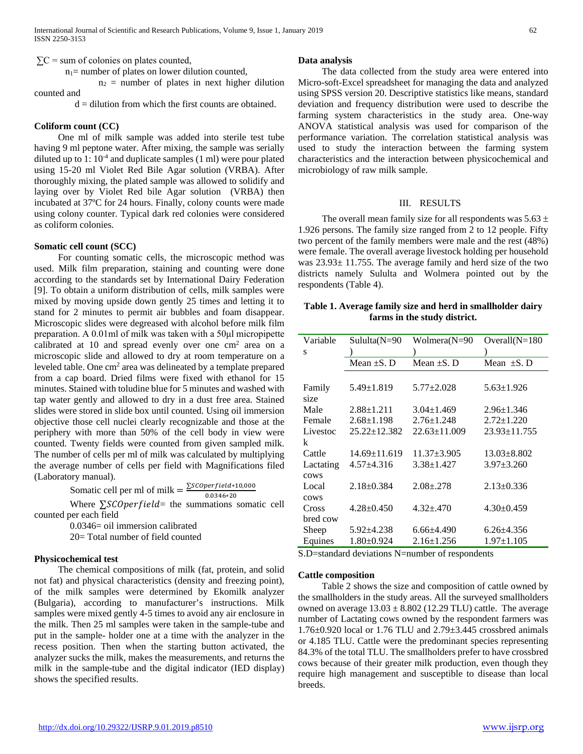$\Sigma$ C = sum of colonies on plates counted,

 $n_1$ = number of plates on lower dilution counted,

 $n_2$  = number of plates in next higher dilution counted and

 $d =$  dilution from which the first counts are obtained.

## **Coliform count (CC)**

 One ml of milk sample was added into sterile test tube having 9 ml peptone water. After mixing, the sample was serially diluted up to  $1: 10^{-4}$  and duplicate samples  $(1 \text{ ml})$  were pour plated using 15-20 ml Violet Red Bile Agar solution (VRBA). After thoroughly mixing, the plated sample was allowed to solidify and laying over by Violet Red bile Agar solution (VRBA) then incubated at 37ºC for 24 hours. Finally, colony counts were made using colony counter. Typical dark red colonies were considered as coliform colonies.

#### **Somatic cell count (SCC)**

 For counting somatic cells, the microscopic method was used. Milk film preparation, staining and counting were done according to the standards set by International Dairy Federation [9]. To obtain a uniform distribution of cells, milk samples were mixed by moving upside down gently 25 times and letting it to stand for 2 minutes to permit air bubbles and foam disappear. Microscopic slides were degreased with alcohol before milk film preparation. A 0.01ml of milk was taken with a 50μl micropipette calibrated at 10 and spread evenly over one cm2 area on a microscopic slide and allowed to dry at room temperature on a leveled table. One cm<sup>2</sup> area was delineated by a template prepared from a cap board. Dried films were fixed with ethanol for 15 minutes. Stained with toludine blue for 5 minutes and washed with tap water gently and allowed to dry in a dust free area. Stained slides were stored in slide box until counted. Using oil immersion objective those cell nuclei clearly recognizable and those at the periphery with more than 50% of the cell body in view were counted. Twenty fields were counted from given sampled milk. The number of cells per ml of milk was calculated by multiplying the average number of cells per field with Magnifications filed (Laboratory manual).

Somatic cell per ml of milk =  $\frac{\sum_{s} C_{Operfield * 10,000}}{0.0346 * 20}$ 

Where  $\Sigma$ *SCOperfield* = the summations somatic cell counted per each field

> 0.0346= oil immersion calibrated 20= Total number of field counted

# **Physicochemical test**

 The chemical compositions of milk (fat, protein, and solid not fat) and physical characteristics (density and freezing point), of the milk samples were determined by Ekomilk analyzer (Bulgaria), according to manufacturer's instructions. Milk samples were mixed gently 4-5 times to avoid any air enclosure in the milk. Then 25 ml samples were taken in the sample-tube and put in the sample- holder one at a time with the analyzer in the recess position. Then when the starting button activated, the analyzer sucks the milk, makes the measurements, and returns the milk in the sample-tube and the digital indicator (IED display) shows the specified results.

#### **Data analysis**

 The data collected from the study area were entered into Micro-soft-Excel spreadsheet for managing the data and analyzed using SPSS version 20. Descriptive statistics like means, standard deviation and frequency distribution were used to describe the farming system characteristics in the study area. One-way ANOVA statistical analysis was used for comparison of the performance variation. The correlation statistical analysis was used to study the interaction between the farming system characteristics and the interaction between physicochemical and microbiology of raw milk sample.

#### III. RESULTS

The overall mean family size for all respondents was  $5.63 \pm$ 1.926 persons. The family size ranged from 2 to 12 people. Fifty two percent of the family members were male and the rest (48%) were female. The overall average livestock holding per household was  $23.93 \pm 11.755$ . The average family and herd size of the two districts namely Sululta and Wolmera pointed out by the respondents (Table 4).

# **Table 1. Average family size and herd in smallholder dairy farms in the study district.**

| Variable  | Sululta(N=90       | Wolmera(N=90       | Overall $(N=180)$  |
|-----------|--------------------|--------------------|--------------------|
| S         |                    |                    |                    |
|           | Mean $\pm$ S. D    | Mean $\pm$ S. D    | Mean $\pm$ S. D    |
|           |                    |                    |                    |
| Family    | $5.49 \pm 1.819$   | $5.77 \pm 2.028$   | $5.63 \pm 1.926$   |
| size      |                    |                    |                    |
| Male      | $2.88 \pm 1.211$   | $3.04 \pm 1.469$   | $2.96 \pm 1.346$   |
| Female    | $2.68 \pm 1.198$   | $2.76 \pm 1.248$   | $2.72 + 1.220$     |
| Livestoc  | $25.22 \pm 12.382$ | $22.63 \pm 11.009$ | $23.93 \pm 11.755$ |
| k         |                    |                    |                    |
| Cattle    | $14.69 \pm 11.619$ | $11.37 + 3.905$    | $13.03 + 8.802$    |
| Lactating | $4.57 \pm 4.316$   | $3.38 + 1.427$     | $3.97 \pm 3.260$   |
| cows      |                    |                    |                    |
| Local     | $2.18 \pm 0.384$   | $2.08 + 278$       | $2.13 \pm 0.336$   |
| cows      |                    |                    |                    |
| Cross     | $4.28 \pm 0.450$   | $4.32 \pm 470$     | $4.30\pm0.459$     |
| bred cow  |                    |                    |                    |
| Sheep     | 5.92±4.238         | $6.66{\pm}4.490$   | $6.26 \pm 4.356$   |
| Equines   | $1.80 \pm 0.924$   | $2.16 \pm 1.256$   | $1.97 \pm 1.105$   |

S.D=standard deviations N=number of respondents

#### **Cattle composition**

 Table 2 shows the size and composition of cattle owned by the smallholders in the study areas. All the surveyed smallholders owned on average  $13.03 \pm 8.802$  (12.29 TLU) cattle. The average number of Lactating cows owned by the respondent farmers was 1.76±0.920 local or 1.76 TLU and 2.79±3.445 crossbred animals or 4.185 TLU. Cattle were the predominant species representing 84.3% of the total TLU. The smallholders prefer to have crossbred cows because of their greater milk production, even though they require high management and susceptible to disease than local breeds.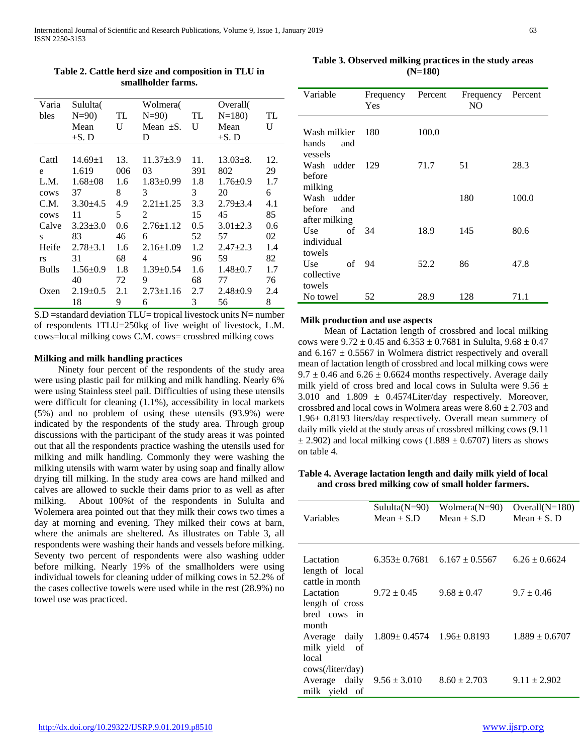| Varia        | Sululta(          |               | Wolmera(            |               | Overall(       |     |
|--------------|-------------------|---------------|---------------------|---------------|----------------|-----|
| bles         | $N=90$ )          | <b>TL</b>     | $N=90$ TL           |               | $N=180$        | TL  |
|              | Mean              | $\mathbf{U}$  | Mean $\pm$ S. U     |               | Mean           | U   |
|              | $\pm$ S. D        |               | D                   |               | $\pm$ S. D     |     |
|              |                   |               |                     |               |                |     |
| Cattl        | $14.69 \pm 1$ 13. |               | $11.37 \pm 3.9$ 11. |               | $13.03 \pm 8.$ | 12. |
| e            | 1.619             | 006           | $03 \sim$           | 391           | 802            | 29  |
| L.M.         | $1.68 \pm 08$     | 1.6           | $1.83 \pm 0.99$     | 1.8           | $1.76 \pm 0.9$ | 1.7 |
| cows         | 37                | 8             | $\overline{3}$      | $\mathcal{E}$ | 20             | 6   |
| C.M.         | $3.30\pm4.5$      | 4.9           | $2.21 \pm 1.25$     | 3.3           | $2.79 \pm 3.4$ | 4.1 |
| cows         | 11                | 5             | 2                   | 15            | 45             | 85  |
| Calve        | $3.23 + 3.0$      | $0.6^{\circ}$ | $2.76 \pm 1.12$     | 0.5           | $3.01 \pm 2.3$ | 0.6 |
| $S$ and $S$  | 83                | 46            | 6                   | 52            | 57             | 02  |
| Heife        | $2.78 \pm 3.1$    | 1.6           | $2.16 \pm 1.09$     | 1.2           | $2.47 \pm 2.3$ | 1.4 |
| <b>rs</b>    | 31                | 68            | 4                   | 96            | 59             | 82  |
| <b>Bulls</b> | $1.56 \pm 0.9$    | 1.8           | $1.39 \pm 0.54$     | 1.6           | $1.48 \pm 0.7$ | 1.7 |
|              | 40                | 72            | 9                   | 68            | 77             | 76  |
| Oxen         | $2.19 \pm 0.5$    | 2.1           | $2.73 \pm 1.16$     | 2.7           | $2.48{\pm}0.9$ | 2.4 |
|              | 18                | 9             | 6                   | 3             | 56             | 8   |

**Table 2. Cattle herd size and composition in TLU in smallholder farms.**

S.D =standard deviation TLU= tropical livestock units N= number of respondents 1TLU=250kg of live weight of livestock, L.M. cows=local milking cows C.M. cows= crossbred milking cows

## **Milking and milk handling practices**

 Ninety four percent of the respondents of the study area were using plastic pail for milking and milk handling. Nearly 6% were using Stainless steel pail. Difficulties of using these utensils were difficult for cleaning (1.1%), accessibility in local markets (5%) and no problem of using these utensils (93.9%) were indicated by the respondents of the study area. Through group discussions with the participant of the study areas it was pointed out that all the respondents practice washing the utensils used for milking and milk handling. Commonly they were washing the milking utensils with warm water by using soap and finally allow drying till milking. In the study area cows are hand milked and calves are allowed to suckle their dams prior to as well as after milking. About 100%t of the respondents in Sululta and Wolemera area pointed out that they milk their cows two times a day at morning and evening. They milked their cows at barn, where the animals are sheltered. As illustrates on Table 3, all respondents were washing their hands and vessels before milking. Seventy two percent of respondents were also washing udder before milking. Nearly 19% of the smallholders were using individual towels for cleaning udder of milking cows in 52.2% of the cases collective towels were used while in the rest (28.9%) no towel use was practiced.

**Table 3. Observed milking practices in the study areas (N=180)**

| Variable                                | Frequency<br>Yes | Percent | Frequency<br>NO. | Percent |
|-----------------------------------------|------------------|---------|------------------|---------|
| Wash milkier<br>hands<br>and<br>vessels | 180              | 100.0   |                  |         |
| Wash udder<br>before                    | 129              | 71.7    | 51               | 28.3    |
| milking<br>Wash udder<br>before<br>and  |                  |         | 180              | 100.0   |
| after milking<br>Use<br>individual      | of $34$          | 18.9    | 145              | 80.6    |
| towels<br>Use<br>collective             | of $94$          | 52.2    | 86               | 47.8    |
| towels<br>No towel                      | 52               | 28.9    | 128              | 71.1    |

#### **Milk production and use aspects**

 Mean of Lactation length of crossbred and local milking cows were  $9.72 \pm 0.45$  and  $6.353 \pm 0.7681$  in Sululta,  $9.68 \pm 0.47$ and  $6.167 \pm 0.5567$  in Wolmera district respectively and overall mean of lactation length of crossbred and local milking cows were  $9.7 \pm 0.46$  and  $6.26 \pm 0.6624$  months respectively. Average daily milk yield of cross bred and local cows in Sululta were  $9.56 \pm$ 3.010 and  $1.809 \pm 0.4574$ Liter/day respectively. Moreover, crossbred and local cows in Wolmera areas were  $8.60 \pm 2.703$  and 1.96± 0.8193 liters/day respectively. Overall mean summery of daily milk yield at the study areas of crossbred milking cows (9.11  $\pm$  2.902) and local milking cows (1.889  $\pm$  0.6707) liters as shows on table 4.

# **Table 4. Average lactation length and daily milk yield of local and cross bred milking cow of small holder farmers.**

| Variables                                                       | $Sululta(N=90)$<br>$Mean \pm S.D$    | Wolmera $(N=90)$<br>Mean $\pm$ S.D    | Overall $(N=180)$<br>Mean $\pm$ S. D |
|-----------------------------------------------------------------|--------------------------------------|---------------------------------------|--------------------------------------|
| Lactation<br>length of local                                    |                                      | $6.353 \pm 0.7681$ $6.167 \pm 0.5567$ | $6.26 \pm 0.6624$                    |
| cattle in month<br>Lactation<br>length of cross<br>bred cows in | $9.72 \pm 0.45$                      | $9.68 \pm 0.47$                       | $9.7 \pm 0.46$                       |
| month<br>Average daily<br>milk yield of                         | $1.809 \pm 0.4574$ $1.96 \pm 0.8193$ |                                       | $1.889 \pm 0.6707$                   |
| local<br>cows(/liter/day)<br>Average daily<br>milk yield of     | $9.56 \pm 3.010$                     | $8.60 \pm 2.703$                      | $9.11 \pm 2.902$                     |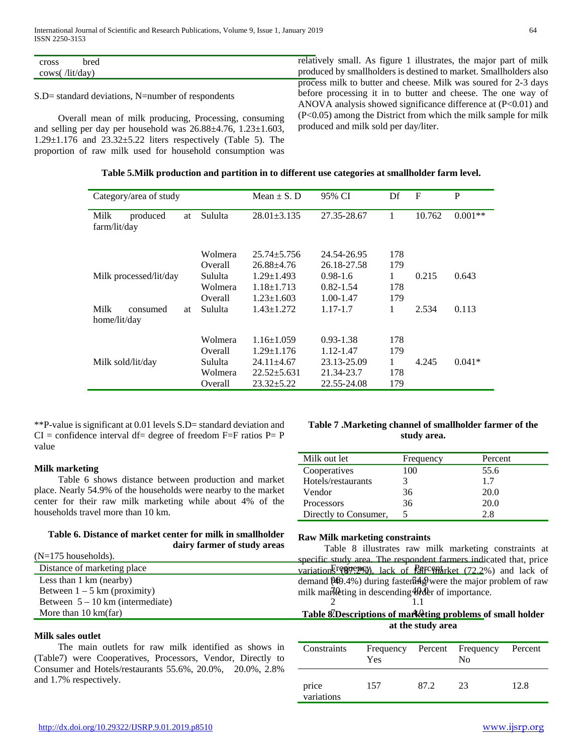S.D= standard deviations, N=number of respondents

 Overall mean of milk producing, Processing, consuming and selling per day per household was 26.88±4.76, 1.23±1.603, 1.29±1.176 and 23.32±5.22 liters respectively (Table 5). The proportion of raw milk used for household consumption was

relatively small. As figure 1 illustrates, the major part of milk produced by smallholders is destined to market. Smallholders also process milk to butter and cheese. Milk was soured for 2-3 days before processing it in to butter and cheese. The one way of ANOVA analysis showed significance difference at  $(P<0.01)$  and (P<0.05) among the District from which the milk sample for milk produced and milk sold per day/liter.

| Category/area of study                 |                                          | Mean $\pm$ S. D                                                               | 95% CI                                                  | Df                     | F      | P         |
|----------------------------------------|------------------------------------------|-------------------------------------------------------------------------------|---------------------------------------------------------|------------------------|--------|-----------|
| Milk<br>produced<br>at<br>farm/lit/day | Sululta                                  | $28.01 \pm 3.135$                                                             | 27.35-28.67                                             | 1                      | 10.762 | $0.001**$ |
|                                        | Wolmera<br>Overall                       | $25.74 + 5.756$<br>26.88+4.76                                                 | 24.54-26.95<br>26.18-27.58                              | 178<br>179             |        |           |
| Milk processed/lit/day                 | Sululta<br>Wolmera<br>Overall            | $1.29 \pm 1.493$<br>$1.18 \pm 1.713$<br>$1.23 \pm 1.603$                      | $0.98 - 1.6$<br>$0.82 - 1.54$<br>$1.00 - 1.47$          | 1<br>178<br>179        | 0.215  | 0.643     |
| Milk<br>consumed<br>at<br>home/lit/day | Sululta                                  | $1.43 \pm 1.272$                                                              | 1.17-1.7                                                | 1                      | 2.534  | 0.113     |
| Milk sold/lit/day                      | Wolmera<br>Overall<br>Sululta<br>Wolmera | $1.16 \pm 1.059$<br>$1.29 \pm 1.176$<br>$24.11 \pm 4.67$<br>$22.52 \pm 5.631$ | $0.93 - 1.38$<br>1.12-1.47<br>23.13-25.09<br>21.34-23.7 | 178<br>179<br>1<br>178 | 4.245  | $0.041*$  |
|                                        | Overall                                  | $23.32 \pm 5.22$                                                              | 22.55-24.08                                             | 179                    |        |           |

\*\*P-value is significant at 0.01 levels S.D= standard deviation and  $CI =$  confidence interval df= degree of freedom F=F ratios P= P value

#### **Milk marketing**

 Table 6 shows distance between production and market place. Nearly 54.9% of the households were nearby to the market center for their raw milk marketing while about 4% of the households travel more than 10 km.

## **Table 6. Distance of market center for milk in smallholder dairy farmer of study areas**

| $(N=175$ households).                 | rable of mastrates raw minix marketing<br>specific study area. The respondent farmers indica |
|---------------------------------------|----------------------------------------------------------------------------------------------|
| Distance of marketing place           | variation Frequency, lack of Part emarket (72.2%)                                            |
| Less than 1 km (nearby)               | demand $(469.4\%)$ during faster $\frac{54}{9}$ were the major p                             |
| Between $1 - 5$ km (proximity)        | milk marketing in descending Hrder of importance.                                            |
| Between $5 - 10$ km (intermediate)    |                                                                                              |
| More than $10 \text{ km}(\text{far})$ | Table 8. Descriptions of marketing problems of                                               |

## **Milk sales outlet**

 The main outlets for raw milk identified as shows in (Table7) were Cooperatives, Processors, Vendor, Directly to Consumer and Hotels/restaurants 55.6%, 20.0%, 20.0%, 2.8% and 1.7% respectively.

# **Table 7 .Marketing channel of smallholder farmer of the study area.**

| Milk out let          | Frequency | Percent |
|-----------------------|-----------|---------|
| Cooperatives          | 100       | 55.6    |
| Hotels/restaurants    |           | 1.7     |
| Vendor                | 36        | 20.0    |
| <b>Processors</b>     | 36        | 20.0    |
| Directly to Consumer, | 5         | 2.8     |

#### **Raw Milk marketing constraints**

Distance of marketing place variations (Frequency), lack of **Fair Conduction** (72.2%) and lack of Less than 1 km (nearby) during fasten  $\frac{1}{2}$  demand  $\frac{1}{2}$  demand  $\frac{1}{2}$  were the major problem of raw Table 8 illustrates raw milk marketing constraints at specific study area. The respondent farmers indicated that, price

# More than 10 km(far) 7able 8.Descriptions of marketing problems of small holder **at the study area**

| Constraints         | Frequency Percent Frequency<br>Yes |      | N <sub>0</sub> | Percent |
|---------------------|------------------------------------|------|----------------|---------|
| price<br>variations | 157                                | 87.2 | 23             | 12.8    |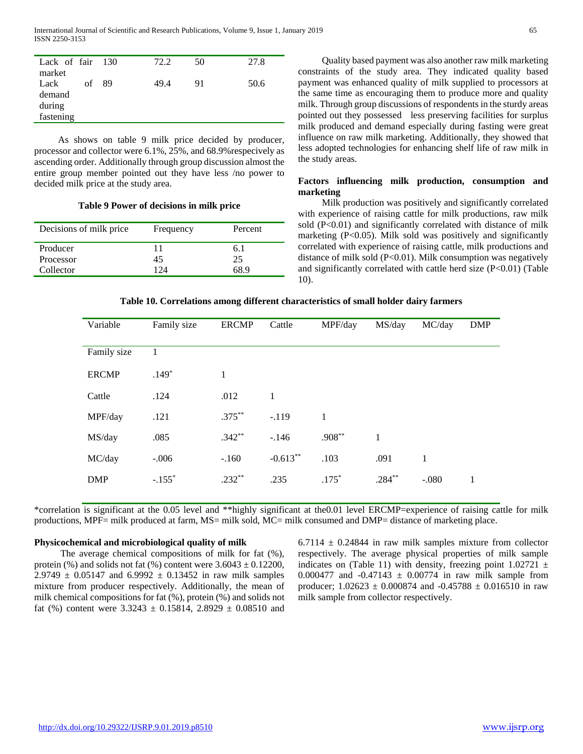| Lack of fair 130 |    | 72.2 | 50 | 27.8 |
|------------------|----|------|----|------|
| market           |    |      |    |      |
| Lack<br>of       | 89 | 49.4 | 91 | 50.6 |
| demand           |    |      |    |      |
| during           |    |      |    |      |
| fastening        |    |      |    |      |

 As shows on table 9 milk price decided by producer, processor and collector were 6.1%, 25%, and 68.9%respecively as ascending order. Additionally through group discussion almost the entire group member pointed out they have less /no power to decided milk price at the study area.

#### **Table 9 Power of decisions in milk price**

| Decisions of milk price | Frequency | Percent |
|-------------------------|-----------|---------|
| Producer                |           | 6. I    |
| Processor               | 45        | 25      |
| Collector               | 74        | 6X 9    |

 Quality based payment was also another raw milk marketing constraints of the study area. They indicated quality based payment was enhanced quality of milk supplied to processors at the same time as encouraging them to produce more and quality milk. Through group discussions of respondents in the sturdy areas pointed out they possessed less preserving facilities for surplus milk produced and demand especially during fasting were great influence on raw milk marketing. Additionally, they showed that less adopted technologies for enhancing shelf life of raw milk in the study areas.

# **Factors influencing milk production, consumption and marketing**

 Milk production was positively and significantly correlated with experience of raising cattle for milk productions, raw milk sold (P<0.01) and significantly correlated with distance of milk marketing  $(P<0.05)$ . Milk sold was positively and significantly correlated with experience of raising cattle, milk productions and distance of milk sold (P<0.01). Milk consumption was negatively and significantly correlated with cattle herd size (P<0.01) (Table 10).

## **Table 10. Correlations among different characteristics of small holder dairy farmers**

| Variable     | Family size          | <b>ERCMP</b> | Cattle     | MPF/day      | MS/day   | MC/day  | <b>DMP</b> |
|--------------|----------------------|--------------|------------|--------------|----------|---------|------------|
| Family size  | 1                    |              |            |              |          |         |            |
| <b>ERCMP</b> | $.149*$              | 1            |            |              |          |         |            |
| Cattle       | .124                 | .012         | 1          |              |          |         |            |
| MPF/day      | .121                 | $.375***$    | $-.119$    | $\mathbf{1}$ |          |         |            |
| MS/day       | .085                 | $.342**$     | $-.146$    | $.908**$     | 1        |         |            |
| MC/day       | $-.006$              | $-.160$      | $-0.613**$ | .103         | .091     | 1       |            |
| <b>DMP</b>   | $-.155$ <sup>*</sup> | $.232**$     | .235       | $.175*$      | $.284**$ | $-.080$ | 1          |

\*correlation is significant at the 0.05 level and \*\*highly significant at the0.01 level ERCMP=experience of raising cattle for milk productions, MPF= milk produced at farm, MS= milk sold, MC= milk consumed and DMP= distance of marketing place.

#### **Physicochemical and microbiological quality of milk**

 The average chemical compositions of milk for fat (%), protein (%) and solids not fat (%) content were  $3.6043 \pm 0.12200$ ,  $2.9749 \pm 0.05147$  and  $6.9992 \pm 0.13452$  in raw milk samples mixture from producer respectively. Additionally, the mean of milk chemical compositions for fat (%), protein (%) and solids not fat (%) content were  $3.3243 \pm 0.15814$ ,  $2.8929 \pm 0.08510$  and

 $6.7114 \pm 0.24844$  in raw milk samples mixture from collector respectively. The average physical properties of milk sample indicates on (Table 11) with density, freezing point  $1.02721 \pm$ 0.000477 and  $-0.47143 \pm 0.00774$  in raw milk sample from producer;  $1.02623 \pm 0.000874$  and  $-0.45788 \pm 0.016510$  in raw milk sample from collector respectively.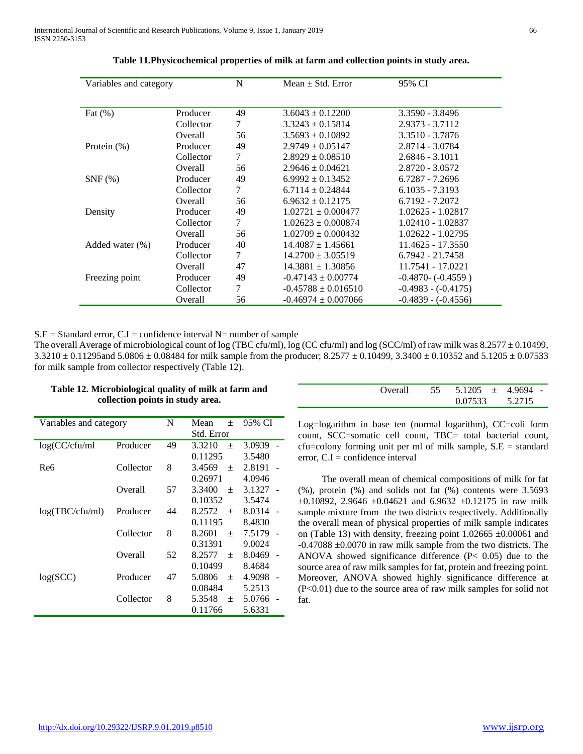| Variables and category |           | N  | Mean $\pm$ Std. Error   | 95% CI                |
|------------------------|-----------|----|-------------------------|-----------------------|
|                        |           |    |                         |                       |
| Fat $(\%)$             | Producer  | 49 | $3.6043 \pm 0.12200$    | 3.3590 - 3.8496       |
|                        | Collector | 7  | $3.3243 \pm 0.15814$    | $2.9373 - 3.7112$     |
|                        | Overall   | 56 | $3.5693 \pm 0.10892$    | 3.3510 - 3.7876       |
| Protein $(\%)$         | Producer  | 49 | $2.9749 \pm 0.05147$    | 2.8714 - 3.0784       |
|                        | Collector | 7  | $2.8929 \pm 0.08510$    | $2.6846 - 3.1011$     |
|                        | Overall   | 56 | $2.9646 \pm 0.04621$    | 2.8720 - 3.0572       |
| $SNF$ $(\%)$           | Producer  | 49 | $6.9992 \pm 0.13452$    | $6.7287 - 7.2696$     |
|                        | Collector | 7  | $6.7114 \pm 0.24844$    | $6.1035 - 7.3193$     |
|                        | Overall   | 56 | $6.9632 \pm 0.12175$    | 6.7192 - 7.2072       |
| Density                | Producer  | 49 | $1.02721 \pm 0.000477$  | $1.02625 - 1.02817$   |
|                        | Collector | 7  | $1.02623 \pm 0.000874$  | 1.02410 - 1.02837     |
|                        | Overall   | 56 | $1.02709 \pm 0.000432$  | 1.02622 - 1.02795     |
| Added water $(\% )$    | Producer  | 40 | $14.4087 \pm 1.45661$   | 11.4625 - 17.3550     |
|                        | Collector | 7  | $14.2700 \pm 3.05519$   | $6.7942 - 21.7458$    |
|                        | Overall   | 47 | $14.3881 \pm 1.30856$   | 11.7541 - 17.0221     |
| Freezing point         | Producer  | 49 | $-0.47143 \pm 0.00774$  | $-0.4870 - (-0.4559)$ |
|                        | Collector | 7  | $-0.45788 \pm 0.016510$ | $-0.4983 - (-0.4175)$ |
|                        | Overall   | 56 | $-0.46974 \pm 0.007066$ | $-0.4839 - (-0.4556)$ |

**Table 11.Physicochemical properties of milk at farm and collection points in study area.**

 $S.E = Standard error, C.I = confidence interval N= number of sample$ 

The overall Average of microbiological count of log (TBC cfu/ml), log (CC cfu/ml) and log (SCC/ml) of raw milk was 8.2577  $\pm$  0.10499,  $3.3210 \pm 0.11295$  and  $5.0806 \pm 0.08484$  for milk sample from the producer;  $8.2577 \pm 0.10499$ ,  $3.3400 \pm 0.10352$  and  $5.1205 \pm 0.07533$ for milk sample from collector respectively (Table 12).

| Variables and category | N         | Mean<br>$^{+}$ | 95% CI           |        |  |
|------------------------|-----------|----------------|------------------|--------|--|
|                        |           |                | Std. Error       |        |  |
| log(CC/cfu/ml          | Producer  | 49             | 3.3210<br>$^{+}$ | 3.0939 |  |
|                        |           |                | 0.11295          | 3.5480 |  |
| Re6                    | Collector | 8              | 3.4569<br>$^{+}$ | 2.8191 |  |
|                        |           |                | 0.26971          | 4.0946 |  |
|                        | Overall   | 57             | 3.3400<br>$^{+}$ | 3.1327 |  |
|                        |           |                | 0.10352          | 3.5474 |  |
| log(TBC/cfu/ml)        | Producer  | 44             | 8.2572<br>$^{+}$ | 8.0314 |  |
|                        |           |                | 0.11195          | 8.4830 |  |
|                        | Collector | 8              | 8.2601<br>$^{+}$ | 7.5179 |  |
|                        |           |                | 0.31391          | 9.0024 |  |
|                        | Overall   | 52             | 8.2577<br>$^{+}$ | 8.0469 |  |
|                        |           |                | 0.10499          | 8.4684 |  |
| log(SCC)               | Producer  | 47             | 5.0806<br>$^{+}$ | 4.9098 |  |
|                        |           |                | 0.08484          | 5.2513 |  |
|                        | Collector | 8              | 5.3548<br>$^{+}$ | 5.0766 |  |
|                        |           |                | 0.11766          | 5.6331 |  |

| Table 12. Microbiological quality of milk at farm and |
|-------------------------------------------------------|
| collection points in study area.                      |

| Overall | $55 \quad 5.1205 \quad \pm \quad 4.9694 \quad -$ |        |  |
|---------|--------------------------------------------------|--------|--|
|         | 0.07533                                          | 5.2715 |  |

Log=logarithm in base ten (normal logarithm), CC=coli form count, SCC=somatic cell count, TBC= total bacterial count,  $cfu = colony$  forming unit per ml of milk sample,  $S.E = standard$ error,  $C.I =$ confidence interval

 The overall mean of chemical compositions of milk for fat (%), protein (%) and solids not fat (%) contents were 3.5693  $\pm 0.10892$ , 2.9646  $\pm 0.04621$  and 6.9632  $\pm 0.12175$  in raw milk sample mixture from the two districts respectively. Additionally the overall mean of physical properties of milk sample indicates on (Table 13) with density, freezing point 1.02665 ±0.00061 and -0.47088 ±0.0070 in raw milk sample from the two districts. The ANOVA showed significance difference (P< 0.05) due to the source area of raw milk samples for fat, protein and freezing point. Moreover, ANOVA showed highly significance difference at (P<0.01) due to the source area of raw milk samples for solid not fat.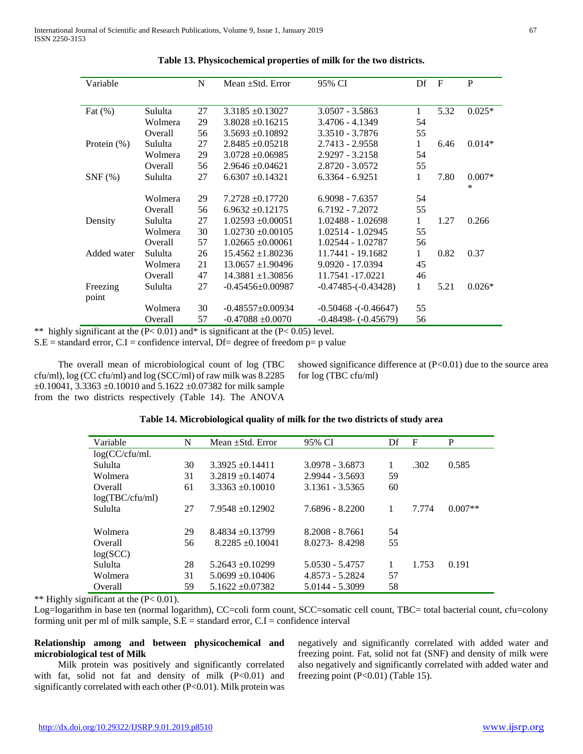| Variable       |         | N  | Mean $\pm$ Std. Error  | 95% CI                   | Df           | $\mathbf{F}$ | P                  |
|----------------|---------|----|------------------------|--------------------------|--------------|--------------|--------------------|
|                |         |    |                        |                          |              |              |                    |
| Fat $(\%)$     | Sululta | 27 | $3.3185 + 0.13027$     | $3.0507 - 3.5863$        | $\mathbf{1}$ | 5.32         | $0.025*$           |
|                | Wolmera | 29 | $3.8028 \pm 0.16215$   | 3.4706 - 4.1349          | 54           |              |                    |
|                | Overall | 56 | $3.5693 \pm 0.10892$   | 3.3510 - 3.7876          | 55           |              |                    |
| Protein $(\%)$ | Sululta | 27 | $2.8485 + 0.05218$     | 2.7413 - 2.9558          | $\mathbf{1}$ | 6.46         | $0.014*$           |
|                | Wolmera | 29 | $3.0728 \pm 0.06985$   | 2.9297 - 3.2158          | 54           |              |                    |
|                | Overall | 56 | $2.9646 + 0.04621$     | 2.8720 - 3.0572          | 55           |              |                    |
| $SNF$ $%$      | Sululta | 27 | $6.6307 + 0.14321$     | $6.3364 - 6.9251$        | 1            | 7.80         | $0.007*$<br>$\ast$ |
|                | Wolmera | 29 | $7.2728 \pm 0.17720$   | $6.9098 - 7.6357$        | 54           |              |                    |
|                | Overall | 56 | $6.9632 \pm 0.12175$   | 6.7192 - 7.2072          | 55           |              |                    |
| Density        | Sululta | 27 | $1.02593 + 0.00051$    | 1.02488 - 1.02698        | 1            | 1.27         | 0.266              |
|                | Wolmera | 30 | $1.02730 \pm 0.00105$  | 1.02514 - 1.02945        | 55           |              |                    |
|                | Overall | 57 | $1.02665 \pm 0.00061$  | 1.02544 - 1.02787        | 56           |              |                    |
| Added water    | Sululta | 26 | $15.4562 \pm 1.80236$  | 11.7441 - 19.1682        | $\mathbf{1}$ | 0.82         | 0.37               |
|                | Wolmera | 21 | $13.0657 \pm 1.90496$  | $9.0920 - 17.0394$       | 45           |              |                    |
|                | Overall | 47 | $14.3881 \pm 1.30856$  | 11.7541 -17.0221         | 46           |              |                    |
| Freezing       | Sululta | 27 | $-0.45456 \pm 0.00987$ | $-0.47485(-0.43428)$     | 1            | 5.21         | $0.026*$           |
| point          |         |    |                        |                          |              |              |                    |
|                | Wolmera | 30 | $-0.48557+0.00934$     | $-0.50468$ $-(-0.46647)$ | 55           |              |                    |
|                | Overall | 57 | $-0.47088 \pm 0.0070$  | $-0.48498 - (-0.45679)$  | 56           |              |                    |

**Table 13. Physicochemical properties of milk for the two districts.**

\*\* highly significant at the  $(P< 0.01)$  and\* is significant at the  $(P< 0.05)$  level.

 $S.E = standard error, C.I = confidence interval, Df = degree of freedom p = p value$ 

 The overall mean of microbiological count of log (TBC cfu/ml), log (CC cfu/ml) and log (SCC/ml) of raw milk was 8.2285  $\pm 0.10041$ , 3.3363  $\pm 0.10010$  and 5.1622  $\pm 0.07382$  for milk sample from the two districts respectively (Table 14). The ANOVA showed significance difference at  $(P<0.01)$  due to the source area for log (TBC cfu/ml)

# **Table 14. Microbiological quality of milk for the two districts of study area**

| Variable          | N  | Mean $\pm$ Std. Error | 95% CI            | Df | F     | P         |
|-------------------|----|-----------------------|-------------------|----|-------|-----------|
| $log(CC/cfu/ml$ . |    |                       |                   |    |       |           |
| Sululta           | 30 | $3.3925 + 0.14411$    | 3.0978 - 3.6873   |    | .302  | 0.585     |
| Wolmera           | 31 | $3.2819 \pm 0.14074$  | 2.9944 - 3.5693   | 59 |       |           |
| Overall           | 61 | $3.3363 + 0.10010$    | 3.1361 - 3.5365   | 60 |       |           |
| log(TBC/cfu/ml)   |    |                       |                   |    |       |           |
| Sululta           | 27 | $7.9548 + 0.12902$    | 7.6896 - 8.2200   |    | 7.774 | $0.007**$ |
|                   |    |                       |                   |    |       |           |
| Wolmera           | 29 | $8.4834 + 0.13799$    | $8.2008 - 8.7661$ | 54 |       |           |
| Overall           | 56 | $8.2285 + 0.10041$    | 8.0273-8.4298     | 55 |       |           |
| log(SCC)          |    |                       |                   |    |       |           |
| Sululta           | 28 | $5.2643 + 0.10299$    | 5.0530 - 5.4757   |    | 1.753 | 0.191     |
| Wolmera           | 31 | $5.0699 + 0.10406$    | $4.8573 - 5.2824$ | 57 |       |           |
| Overall           | 59 | $5.1622 + 0.07382$    | 5.0144 - 5.3099   | 58 |       |           |

\*\* Highly significant at the  $(P< 0.01)$ .

Log=logarithm in base ten (normal logarithm), CC=coli form count, SCC=somatic cell count, TBC= total bacterial count, cfu=colony forming unit per ml of milk sample,  $S.E =$  standard error,  $C.I =$  confidence interval

# **Relationship among and between physicochemical and microbiological test of Milk**

 Milk protein was positively and significantly correlated with fat, solid not fat and density of milk (P<0.01) and significantly correlated with each other (P<0.01). Milk protein was negatively and significantly correlated with added water and freezing point. Fat, solid not fat (SNF) and density of milk were also negatively and significantly correlated with added water and freezing point (P<0.01) (Table 15).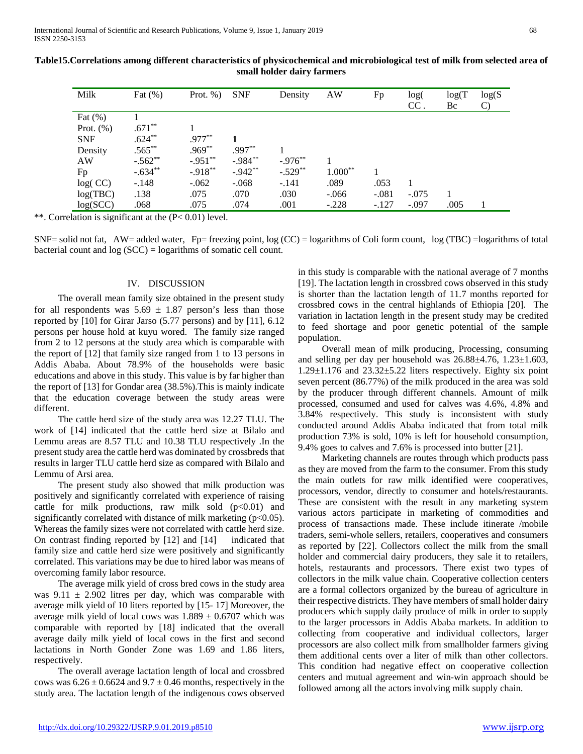| Milk         | Fat $(\%)$ | Prot. $%$ ) | <b>SNF</b> | Density    | AW        | Fp      | log(<br>$CC$ . | log(T)<br>Bc | log(S)<br>$\mathcal{C}$ |
|--------------|------------|-------------|------------|------------|-----------|---------|----------------|--------------|-------------------------|
| Fat $(\%)$   |            |             |            |            |           |         |                |              |                         |
| Prot. $(\%)$ | $.671**$   |             |            |            |           |         |                |              |                         |
| <b>SNF</b>   | $.624***$  | $.977***$   |            |            |           |         |                |              |                         |
| Density      | $.565***$  | $.969**$    | $.997**$   |            |           |         |                |              |                         |
| AW           | $-.562**$  | $-.951**$   | $-.984**$  | $-.976**$  |           |         |                |              |                         |
| Fp           | $-.634**$  | $-.918**$   | $-.942**$  | $-.529$ ** | $1.000**$ |         |                |              |                         |
| log(CC)      | $-.148$    | $-.062$     | $-.068$    | $-.141$    | .089      | .053    |                |              |                         |
| log(TBC)     | .138       | .075        | .070       | .030       | $-.066$   | $-.081$ | $-.075$        |              |                         |
| log(SCC)     | .068       | .075        | .074       | .001       | $-.228$   | $-.127$ | $-.097$        | .005         |                         |

**Table15.Correlations among different characteristics of physicochemical and microbiological test of milk from selected area of small holder dairy farmers**

\*\*. Correlation is significant at the (P< 0.01) level.

 $SNF=$  solid not fat,  $AW=$  added water,  $Fp=$  freezing point, log (CC) = logarithms of Coli form count, log (TBC) = logarithms of total bacterial count and log (SCC) = logarithms of somatic cell count.

# IV. DISCUSSION

 The overall mean family size obtained in the present study for all respondents was  $5.69 \pm 1.87$  person's less than those reported by [10] for Girar Jarso (5.77 persons) and by [11], 6.12 persons per house hold at kuyu wored. The family size ranged from 2 to 12 persons at the study area which is comparable with the report of [12] that family size ranged from 1 to 13 persons in Addis Ababa. About 78.9% of the households were basic educations and above in this study. This value is by far higher than the report of [13] for Gondar area (38.5%).This is mainly indicate that the education coverage between the study areas were different.

 The cattle herd size of the study area was 12.27 TLU. The work of [14] indicated that the cattle herd size at Bilalo and Lemmu areas are 8.57 TLU and 10.38 TLU respectively .In the present study area the cattle herd was dominated by crossbreds that results in larger TLU cattle herd size as compared with Bilalo and Lemmu of Arsi area.

 The present study also showed that milk production was positively and significantly correlated with experience of raising cattle for milk productions, raw milk sold  $(p<0.01)$  and significantly correlated with distance of milk marketing  $(p<0.05)$ . Whereas the family sizes were not correlated with cattle herd size. On contrast finding reported by [12] and [14] indicated that family size and cattle herd size were positively and significantly correlated. This variations may be due to hired labor was means of overcoming family labor resource.

 The average milk yield of cross bred cows in the study area was  $9.11 \pm 2.902$  litres per day, which was comparable with average milk yield of 10 liters reported by [15- 17] Moreover, the average milk yield of local cows was  $1.889 \pm 0.6707$  which was comparable with reported by [18] indicated that the overall average daily milk yield of local cows in the first and second lactations in North Gonder Zone was 1.69 and 1.86 liters, respectively.

 The overall average lactation length of local and crossbred cows was  $6.26 \pm 0.6624$  and  $9.7 \pm 0.46$  months, respectively in the study area. The lactation length of the indigenous cows observed

in this study is comparable with the national average of 7 months [19]. The lactation length in crossbred cows observed in this study is shorter than the lactation length of 11.7 months reported for crossbred cows in the central highlands of Ethiopia [20]. The variation in lactation length in the present study may be credited to feed shortage and poor genetic potential of the sample population.

 Overall mean of milk producing, Processing, consuming and selling per day per household was 26.88±4.76, 1.23±1.603, 1.29±1.176 and 23.32±5.22 liters respectively. Eighty six point seven percent (86.77%) of the milk produced in the area was sold by the producer through different channels. Amount of milk processed, consumed and used for calves was 4.6%, 4.8% and 3.84% respectively. This study is inconsistent with study conducted around Addis Ababa indicated that from total milk production 73% is sold, 10% is left for household consumption, 9.4% goes to calves and 7.6% is processed into butter [21].

 Marketing channels are routes through which products pass as they are moved from the farm to the consumer. From this study the main outlets for raw milk identified were cooperatives, processors, vendor, directly to consumer and hotels/restaurants. These are consistent with the result in any marketing system various actors participate in marketing of commodities and process of transactions made. These include itinerate /mobile traders, semi-whole sellers, retailers, cooperatives and consumers as reported by [22]. Collectors collect the milk from the small holder and commercial dairy producers, they sale it to retailers, hotels, restaurants and processors. There exist two types of collectors in the milk value chain. Cooperative collection centers are a formal collectors organized by the bureau of agriculture in their respective districts. They have members of small holder dairy producers which supply daily produce of milk in order to supply to the larger processors in Addis Ababa markets. In addition to collecting from cooperative and individual collectors, larger processors are also collect milk from smallholder farmers giving them additional cents over a liter of milk than other collectors. This condition had negative effect on cooperative collection centers and mutual agreement and win-win approach should be followed among all the actors involving milk supply chain.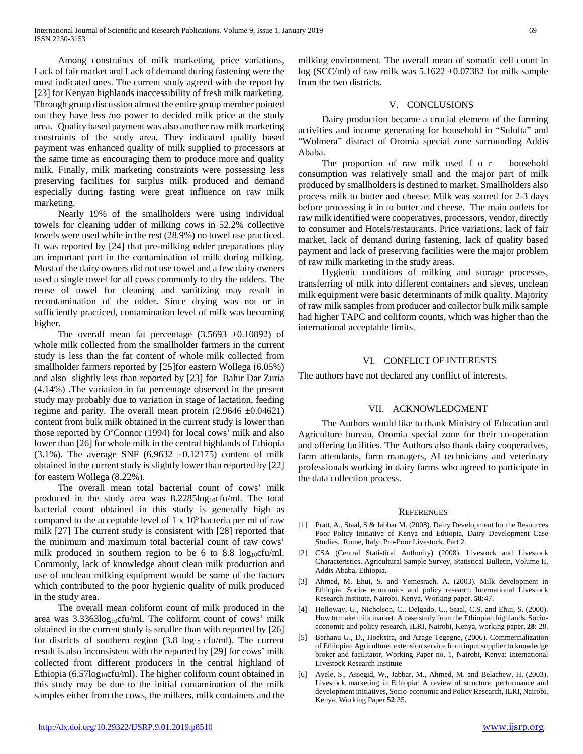Among constraints of milk marketing, price variations, Lack of fair market and Lack of demand during fastening were the most indicated ones. The current study agreed with the report by [23] for Kenyan highlands inaccessibility of fresh milk marketing. Through group discussion almost the entire group member pointed out they have less /no power to decided milk price at the study area. Quality based payment was also another raw milk marketing constraints of the study area. They indicated quality based payment was enhanced quality of milk supplied to processors at the same time as encouraging them to produce more and quality milk. Finally, milk marketing constraints were possessing less preserving facilities for surplus milk produced and demand especially during fasting were great influence on raw milk marketing.

 Nearly 19% of the smallholders were using individual towels for cleaning udder of milking cows in 52.2% collective towels were used while in the rest (28.9%) no towel use practiced. It was reported by [24] that pre-milking udder preparations play an important part in the contamination of milk during milking. Most of the dairy owners did not use towel and a few dairy owners used a single towel for all cows commonly to dry the udders. The reuse of towel for cleaning and sanitizing may result in recontamination of the udder**.** Since drying was not or in sufficiently practiced, contamination level of milk was becoming higher.

The overall mean fat percentage  $(3.5693 \pm 0.10892)$  of whole milk collected from the smallholder farmers in the current study is less than the fat content of whole milk collected from smallholder farmers reported by [25]for eastern Wollega (6.05%) and also slightly less than reported by [23] for Bahir Dar Zuria (4.14%) .The variation in fat percentage observed in the present study may probably due to variation in stage of lactation, feeding regime and parity. The overall mean protein  $(2.9646 \pm 0.04621)$ content from bulk milk obtained in the current study is lower than those reported by O'Connor (1994) for local cows' milk and also lower than [26] for whole milk in the central highlands of Ethiopia (3.1%). The average SNF (6.9632  $\pm$ 0.12175) content of milk obtained in the current study is slightly lower than reported by [22] for eastern Wollega (8.22%).

 The overall mean total bacterial count of cows' milk produced in the study area was 8.2285log10cfu/ml. The total bacterial count obtained in this study is generally high as compared to the acceptable level of  $1 \times 10^5$  bacteria per ml of raw milk [27] The current study is consistent with [28] reported that the minimum and maximum total bacterial count of raw cows' milk produced in southern region to be 6 to 8.8  $log_{10}$ cfu/ml. Commonly, lack of knowledge about clean milk production and use of unclean milking equipment would be some of the factors which contributed to the poor hygienic quality of milk produced in the study area.

 The overall mean coliform count of milk produced in the area was  $3.3363\log_{10}c$ fu/ml. The coliform count of cows' milk obtained in the current study is smaller than with reported by [26] for districts of southern region  $(3.8 \log_{10} c \text{fu/ml})$ . The current result is also inconsistent with the reported by [29] for cows' milk collected from different producers in the central highland of Ethiopia (6.57 $log_{10}$ cfu/ml). The higher coliform count obtained in this study may be due to the initial contamination of the milk samples either from the cows, the milkers, milk containers and the milking environment. The overall mean of somatic cell count in log (SCC/ml) of raw milk was  $5.1622 \pm 0.07382$  for milk sample from the two districts.

# V. CONCLUSIONS

 Dairy production became a crucial element of the farming activities and income generating for household in "Sululta" and "Wolmera" distract of Oromia special zone surrounding Addis Ababa.

 The proportion of raw milk used f o r household consumption was relatively small and the major part of milk produced by smallholders is destined to market. Smallholders also process milk to butter and cheese. Milk was soured for 2-3 days before processing it in to butter and cheese. The main outlets for raw milk identified were cooperatives, processors, vendor, directly to consumer and Hotels/restaurants. Price variations, lack of fair market, lack of demand during fastening, lack of quality based payment and lack of preserving facilities were the major problem of raw milk marketing in the study areas.

 Hygienic conditions of milking and storage processes, transferring of milk into different containers and sieves, unclean milk equipment were basic determinants of milk quality. Majority of raw milk samples from producer and collector bulk milk sample had higher TAPC and coliform counts, which was higher than the international acceptable limits.

# VI. CONFLICT OF INTERESTS

The authors have not declared any conflict of interests.

# VII. ACKNOWLEDGMENT

 The Authors would like to thank Ministry of Education and Agriculture bureau, Oromia special zone for their co-operation and offering facilities. The Authors also thank dairy cooperatives, farm attendants, farm managers, AI technicians and veterinary professionals working in dairy farms who agreed to participate in the data collection process.

#### **REFERENCES**

- [1] Pratt, A., Staal, S & Jabbar M. (2008). Dairy Development for the Resources Poor Policy Initiative of Kenya and Ethiopia, Dairy Development Case Studies. Rome, Italy: Pro-Poor Livestock, Part 2.
- [2] CSA (Central Statistical Authority) (2008). Livestock and Livestock Characteristics. Agricultural Sample Survey, Statistical Bulletin, Volume II, Addis Ababa, Ethiopia.
- [3] Ahmed, M. Ehui, S. and Yemesrach, A. (2003). Milk development in Ethiopia. Socio- economics and policy research International Livestock Research Institute, Nairobi, Kenya, Working paper, **58:**47.
- [4] Holloway, G., Nicholson, C., Delgado, C., Staal, C.S. and Ehui, S. (2000). How to make milk market: A case study from the Ethiopian highlands. Socioeconomic and policy research, ILRI, Nairobi, Kenya, working paper, **28**: 28.
- [5] Berhanu G., D., Hoekstra, and Azage Tegegne, (2006). Commercialization of Ethiopian Agriculture: extension service from input supplier to knowledge broker and facilitator, Working Paper no. 1, Nairobi, Kenya: International Livestock Research Institute
- [6] Ayele, S., Assegid, W., Jabbar, M., Ahmed, M. and Belachew, H. (2003). Livestock marketing in Ethiopia: A review of structure, performance and development initiatives, Socio-economic and Policy Research, ILRI, Nairobi, Kenya, Working Paper **52**:35.